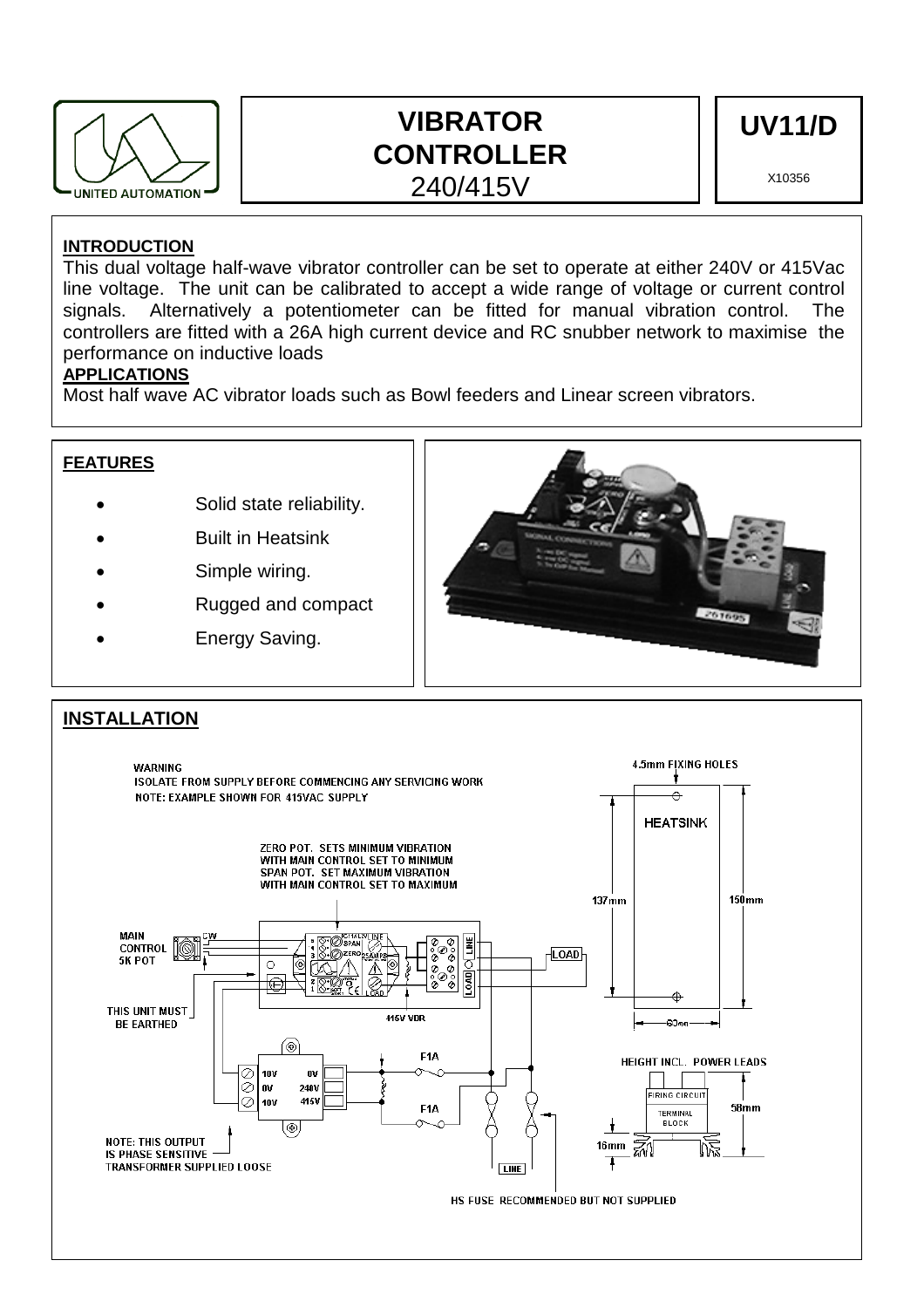

# **VIBRATOR CONTROLLER**  240/415V

**UV11/D** 

X10356

## **INTRODUCTION**

This dual voltage half-wave vibrator controller can be set to operate at either 240V or 415Vac line voltage. The unit can be calibrated to accept a wide range of voltage or current control signals. Alternatively a potentiometer can be fitted for manual vibration control. The controllers are fitted with a 26A high current device and RC snubber network to maximise the performance on inductive loads

## **APPLICATIONS**

Most half wave AC vibrator loads such as Bowl feeders and Linear screen vibrators.



### **INSTALLATION4.5mm FIXING HOLES WARNING** ISOLATE FROM SUPPLY BEFORE COMMENCING ANY SERVICING WORK NOTE: EXAMPLE SHOWN FOR 415VAC SUPPLY **HEATSINK ZERO POT. SETS MINIMUM VIBRATION** WITH MAIN CONTROL SET TO MINIMUM SPAN POT. SET MAXIMUM VIBRATION WITH MAIN CONTROL SET TO MAXIMUM  $150$ mm  $137<sub>mm</sub>$ MAIN  $COMTROL$  $\sqrt{\text{LOAD}}$ 5K POT ò  $\epsilon$ Ē ¢ THIS UNIT MUST **415V VDR BE EARTHED** -en-۵ F<sub>1</sub>A **HEIGHT INCL. POWER LEADS** e 10V  $0<sup>0</sup>$ lĕ l nv 2401 FIRING CIRCUIT Ō  $10V$ 415V  $58<sub>mm</sub>$ F<sub>1</sub>A **TERMINAL BLOCK**  $\overline{\circ}$ **NOTE: THIS OUTPUT**  $16<sub>mm</sub>$ สิ IS PHASE SENSITIVE **TRANSFORMER SUPPLIED LOOSE LINE** HS FUSE RECOMMENDED BUT NOT SUPPLIED